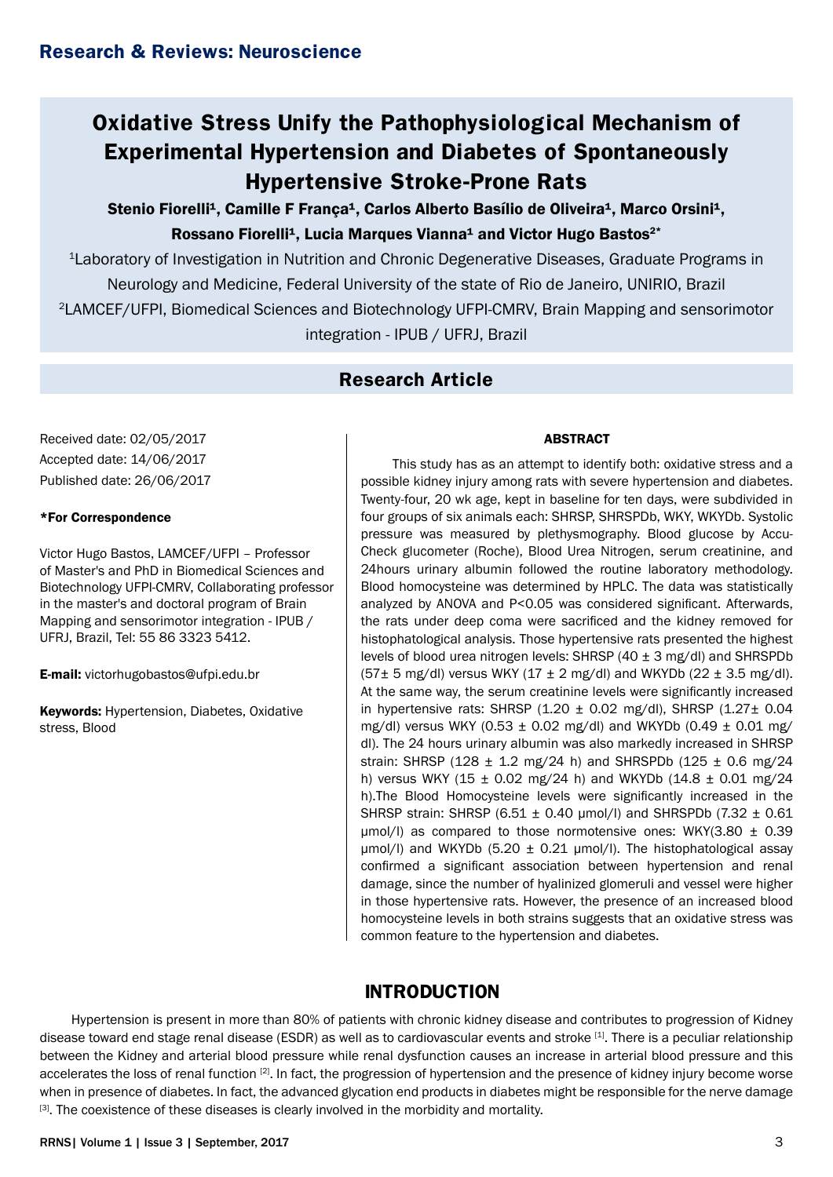# **Oxidative Stress Unify the Pathophysiological Mechanism of Experimental Hypertension and Diabetes of Spontaneously Hypertensive Stroke-Prone Rats**

Stenio Fiorelli<sup>1</sup>, Camille F Franca<sup>1</sup>, Carlos Alberto Basílio de Oliveira<sup>1</sup>, Marco Orsini<sup>1</sup>, Rossano Fiorelli<sup>1</sup>, Lucia Marques Vianna<sup>1</sup> and Victor Hugo Bastos<sup>2\*</sup>

1Laboratory of Investigation in Nutrition and Chronic Degenerative Diseases, Graduate Programs in Neurology and Medicine, Federal University of the state of Rio de Janeiro, UNIRIO, Brazil 2LAMCEF/UFPI, Biomedical Sciences and Biotechnology UFPI-CMRV, Brain Mapping and sensorimotor integration - IPUB / UFRJ, Brazil

## **Research Article**

Received date: 02/05/2017 Accepted date: 14/06/2017 Published date: 26/06/2017

#### \*For Correspondence

Victor Hugo Bastos, LAMCEF/UFPI – Professor of Master's and PhD in Biomedical Sciences and Biotechnology UFPI-CMRV, Collaborating professor in the master's and doctoral program of Brain Mapping and sensorimotor integration - IPUB / UFRJ, Brazil, Tel: 55 86 3323 5412.

E-mail: victorhugobastos@ufpi.edu.br

Keywords: Hypertension, Diabetes, Oxidative stress, Blood

#### ABSTRACT

This study has as an attempt to identify both: oxidative stress and a possible kidney injury among rats with severe hypertension and diabetes. Twenty-four, 20 wk age, kept in baseline for ten days, were subdivided in four groups of six animals each: SHRSP, SHRSPDb, WKY, WKYDb, Systolic pressure was measured by plethysmography. Blood glucose by Accu-Check glucometer (Roche), Blood Urea Nitrogen, serum creatinine, and 24hours urinary albumin followed the routine laboratory methodology. Blood homocysteine was determined by HPLC. The data was statistically analyzed by ANOVA and P<0.05 was considered significant. Afterwards, the rats under deep coma were sacrificed and the kidney removed for histophatological analysis. Those hypertensive rats presented the highest levels of blood urea nitrogen levels: SHRSP (40 ± 3 mg/dl) and SHRSPDb  $(57\pm 5 \text{ mg/d})$  versus WKY  $(17 \pm 2 \text{ mg/d})$  and WKYDb  $(22 \pm 3.5 \text{ mg/d})$ . At the same way, the serum creatinine levels were significantly increased in hypertensive rats: SHRSP  $(1.20 \pm 0.02 \text{ mg/dl})$ , SHRSP  $(1.27 \pm 0.04$ mg/dl) versus WKY (0.53  $\pm$  0.02 mg/dl) and WKYDb (0.49  $\pm$  0.01 mg/ dl). The 24 hours urinary albumin was also markedly increased in SHRSP strain: SHRSP (128  $\pm$  1.2 mg/24 h) and SHRSPDb (125  $\pm$  0.6 mg/24 h) versus WKY (15  $\pm$  0.02 mg/24 h) and WKYDb (14.8  $\pm$  0.01 mg/24 h).The Blood Homocysteine levels were significantly increased in the SHRSP strain: SHRSP (6.51 ± 0.40 µmol/l) and SHRSPDb (7.32 ± 0.61  $\mu$ mol/l) as compared to those normotensive ones: WKY(3.80  $\pm$  0.39  $\mu$ mol/l) and WKYDb (5.20  $\pm$  0.21  $\mu$ mol/l). The histophatological assay confirmed a significant association between hypertension and renal damage, since the number of hyalinized glomeruli and vessel were higher in those hypertensive rats. However, the presence of an increased blood homocysteine levels in both strains suggests that an oxidative stress was common feature to the hypertension and diabetes.

## **INTRODUCTION**

Hypertension is present in more than 80% of patients with chronic kidney disease and contributes to progression of Kidney disease toward end stage renal disease (ESDR) as well as to cardiovascular events and stroke [1]. There is a peculiar relationship between the Kidney and arterial blood pressure while renal dysfunction causes an increase in arterial blood pressure and this accelerates the loss of renal function <sup>[2]</sup>. In fact, the progression of hypertension and the presence of kidney injury become worse when in presence of diabetes. In fact, the advanced glycation end products in diabetes might be responsible for the nerve damage  $[3]$ . The coexistence of these diseases is clearly involved in the morbidity and mortality.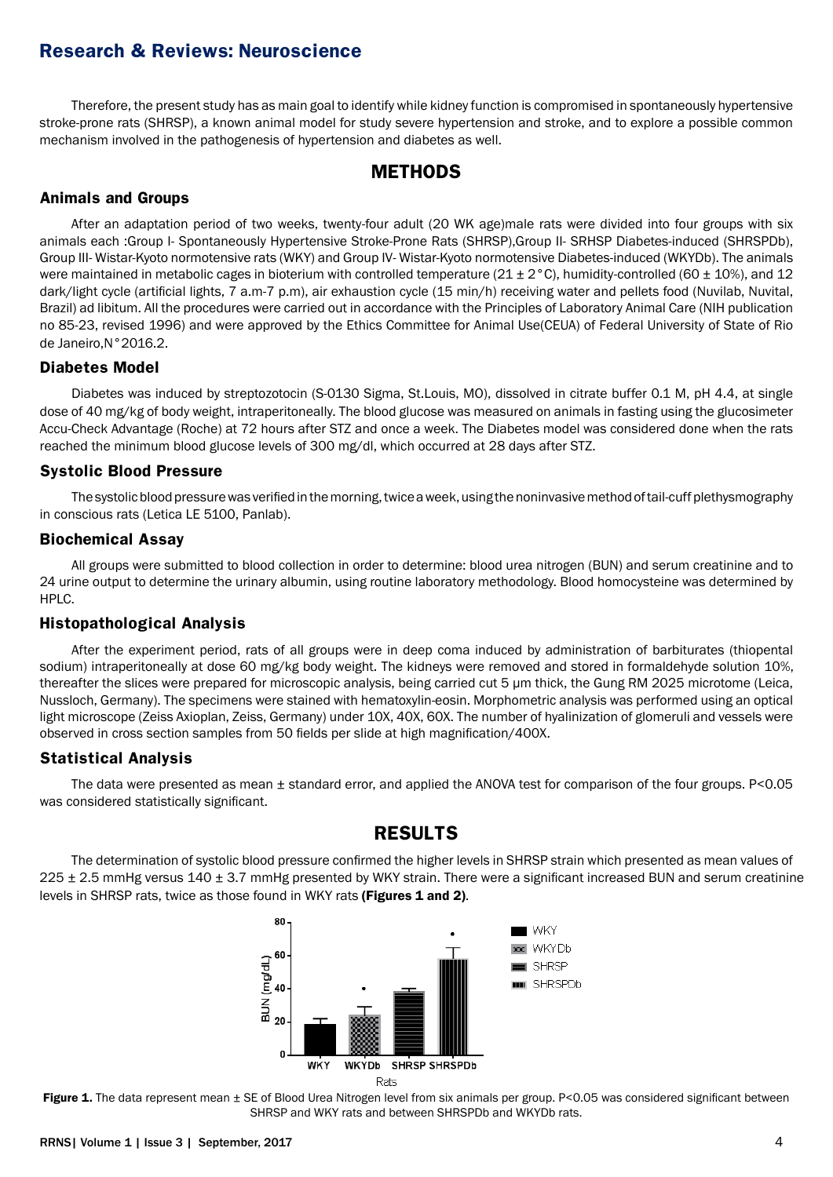Therefore, the present study has as main goal to identify while kidney function is compromised in spontaneously hypertensive stroke-prone rats (SHRSP), a known animal model for study severe hypertension and stroke, and to explore a possible common mechanism involved in the pathogenesis of hypertension and diabetes as well.

### **METHODS**

#### **Animals and Groups**

After an adaptation period of two weeks, twenty-four adult (20 WK age)male rats were divided into four groups with six animals each :Group I- Spontaneously Hypertensive Stroke-Prone Rats (SHRSP),Group II- SRHSP Diabetes-induced (SHRSPDb), Group III- Wistar-Kyoto normotensive rats (WKY) and Group IV- Wistar-Kyoto normotensive Diabetes-induced (WKYDb). The animals were maintained in metabolic cages in bioterium with controlled temperature (21 ± 2 °C), humidity-controlled (60 ± 10%), and 12 dark/light cycle (artificial lights, 7 a.m-7 p.m), air exhaustion cycle (15 min/h) receiving water and pellets food (Nuvilab, Nuvital, Brazil) ad libitum. All the procedures were carried out in accordance with the Principles of Laboratory Animal Care (NIH publication no 85-23, revised 1996) and were approved by the Ethics Committee for Animal Use(CEUA) of Federal University of State of Rio de Janeiro,N°2016.2.

#### **Diabetes Model**

Diabetes was induced by streptozotocin (S-0130 Sigma, St.Louis, MO), dissolved in citrate buffer 0.1 M, pH 4.4, at single dose of 40 mg/kg of body weight, intraperitoneally. The blood glucose was measured on animals in fasting using the glucosimeter Accu-Check Advantage (Roche) at 72 hours after STZ and once a week. The Diabetes model was considered done when the rats reached the minimum blood glucose levels of 300 mg/dl, which occurred at 28 days after STZ.

#### **Systolic Blood Pressure**

The systolic blood pressure was verified in the morning, twice a week, using the noninvasive method of tail-cuff plethysmography in conscious rats (Letica LE 5100, Panlab).

#### **Biochemical Assay**

All groups were submitted to blood collection in order to determine: blood urea nitrogen (BUN) and serum creatinine and to 24 urine output to determine the urinary albumin, using routine laboratory methodology. Blood homocysteine was determined by HPLC.

#### **Histopathological Analysis**

After the experiment period, rats of all groups were in deep coma induced by administration of barbiturates (thiopental sodium) intraperitoneally at dose 60 mg/kg body weight. The kidneys were removed and stored in formaldehyde solution 10%, thereafter the slices were prepared for microscopic analysis, being carried cut 5 um thick, the Gung RM 2025 microtome (Leica, Nussloch, Germany). The specimens were stained with hematoxylin-eosin. Morphometric analysis was performed using an optical light microscope (Zeiss Axioplan, Zeiss, Germany) under 10X, 40X, 60X. The number of hyalinization of glomeruli and vessels were observed in cross section samples from 50 fields per slide at high magnification/400X.

#### **Statistical Analysis**

The data were presented as mean  $\pm$  standard error, and applied the ANOVA test for comparison of the four groups. P<0.05 was considered statistically significant.

## **RESULTS**

The determination of systolic blood pressure confirmed the higher levels in SHRSP strain which presented as mean values of  $225 \pm 2.5$  mmHg versus  $140 \pm 3.7$  mmHg presented by WKY strain. There were a significant increased BUN and serum creatinine levels in SHRSP rats, twice as those found in WKY rats (Figures 1 and 2).



Figure 1. The data represent mean  $\pm$  SE of Blood Urea Nitrogen level from six animals per group. P<0.05 was considered significant between SHRSP and WKY rats and between SHRSPDb and WKYDb rats.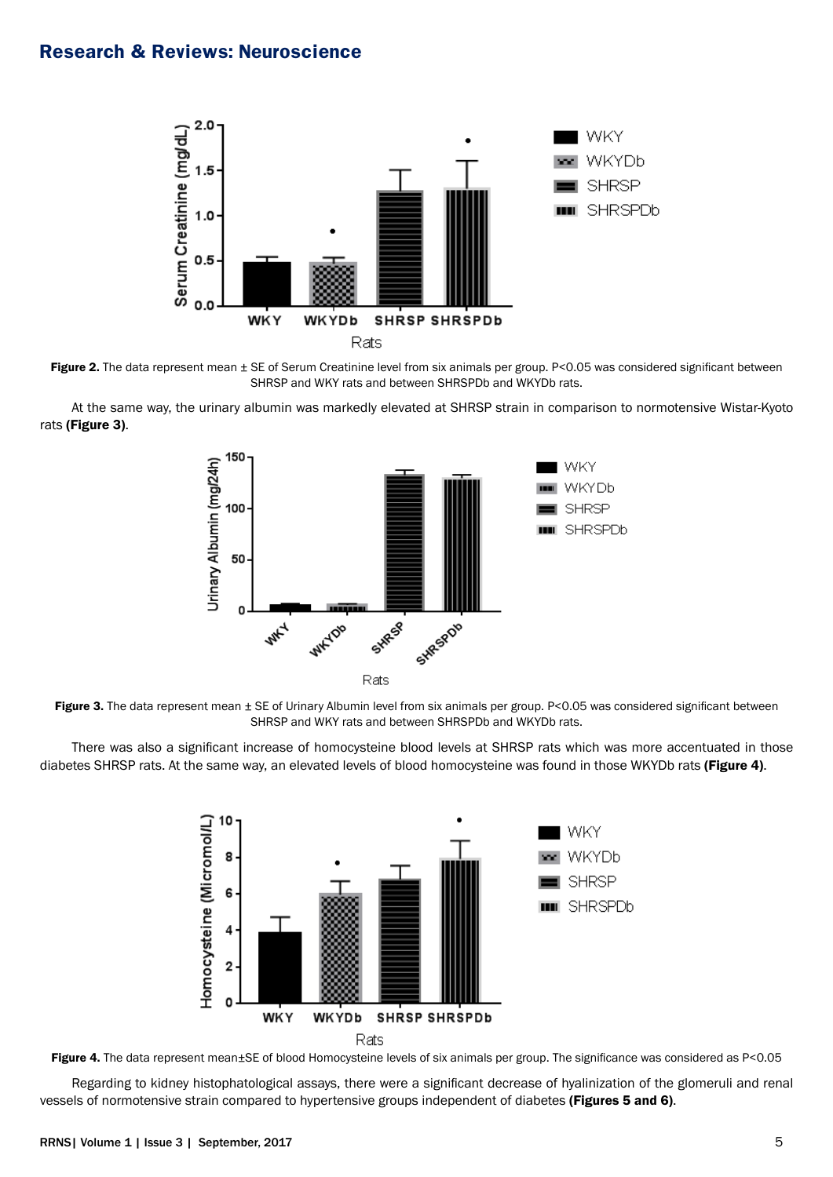

Figure 2. The data represent mean  $\pm$  SE of Serum Creatinine level from six animals per group. P<0.05 was considered significant between SHRSP and WKY rats and between SHRSPDb and WKYDb rats.

At the same way, the urinary albumin was markedly elevated at SHRSP strain in comparison to normotensive Wistar-Kyoto rats (Figure 3).



Figure 3. The data represent mean ± SE of Urinary Albumin level from six animals per group. P<0.05 was considered significant between SHRSP and WKY rats and between SHRSPDb and WKYDb rats.

There was also a significant increase of homocysteine blood levels at SHRSP rats which was more accentuated in those diabetes SHRSP rats. At the same way, an elevated levels of blood homocysteine was found in those WKYDb rats (Figure 4).



Figure 4. The data represent mean±SE of blood Homocysteine levels of six animals per group. The significance was considered as P<0.05

Regarding to kidney histophatological assays, there were a significant decrease of hyalinization of the glomeruli and renal vessels of normotensive strain compared to hypertensive groups independent of diabetes (Figures 5 and 6).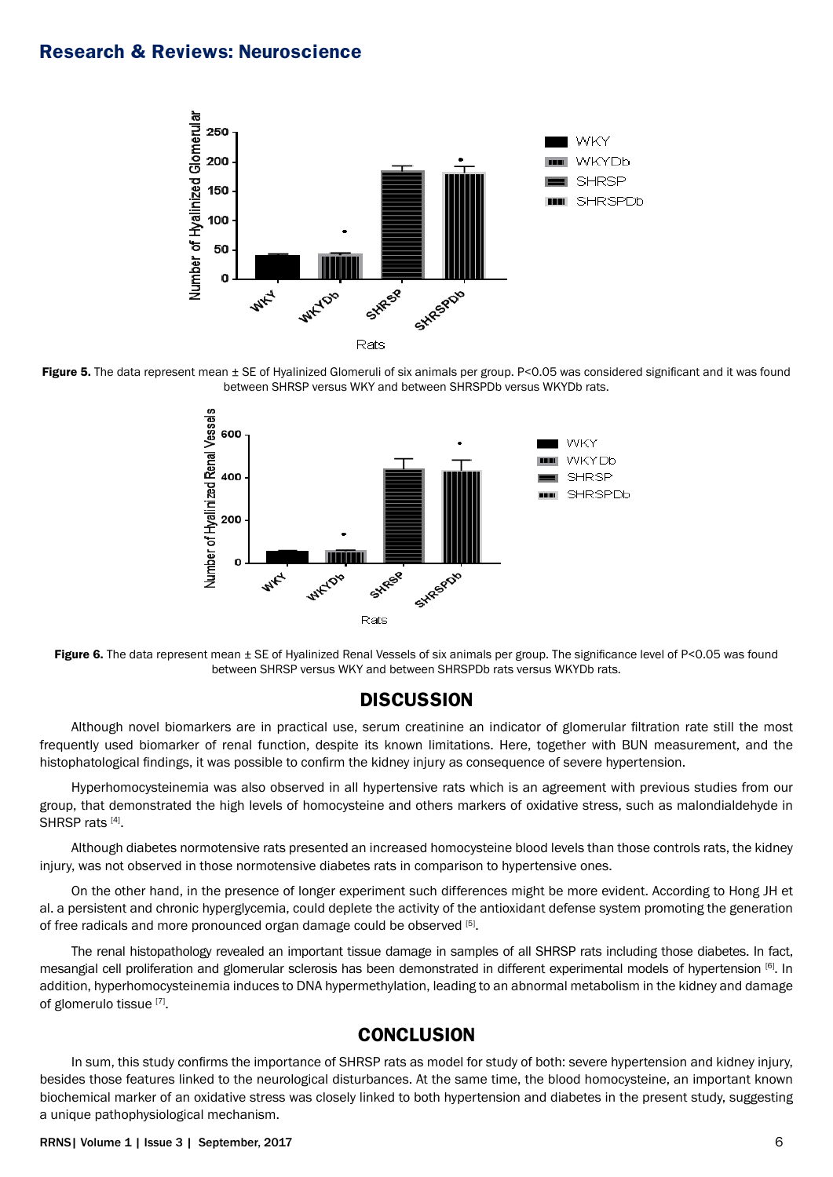





Figure 6. The data represent mean  $\pm$  SE of Hyalinized Renal Vessels of six animals per group. The significance level of P<0.05 was found between SHRSP versus WKY and between SHRSPDb rats versus WKYDb rats.

#### **DISCUSSION**

Although novel biomarkers are in practical use, serum creatinine an indicator of glomerular filtration rate still the most frequently used biomarker of renal function, despite its known limitations. Here, together with BUN measurement, and the histophatological findings, it was possible to confirm the kidney injury as consequence of severe hypertension.

Hyperhomocysteinemia was also observed in all hypertensive rats which is an agreement with previous studies from our group, that demonstrated the high levels of homocysteine and others markers of oxidative stress, such as malondialdehyde in SHRSP rats [4].

Although diabetes normotensive rats presented an increased homocysteine blood levels than those controls rats, the kidney injury, was not observed in those normotensive diabetes rats in comparison to hypertensive ones.

On the other hand, in the presence of longer experiment such differences might be more evident. According to Hong JH et al. a persistent and chronic hyperglycemia, could deplete the activity of the antioxidant defense system promoting the generation of free radicals and more pronounced organ damage could be observed [5].

The renal histopathology revealed an important tissue damage in samples of all SHRSP rats including those diabetes. In fact, mesangial cell proliferation and glomerular sclerosis has been demonstrated in different experimental models of hypertension [6]. In addition, hyperhomocysteinemia induces to DNA hypermethylation, leading to an abnormal metabolism in the kidney and damage of glomerulo tissue [7].

### **CONCLUSION**

In sum, this study confirms the importance of SHRSP rats as model for study of both: severe hypertension and kidney injury, besides those features linked to the neurological disturbances. At the same time, the blood homocysteine, an important known biochemical marker of an oxidative stress was closely linked to both hypertension and diabetes in the present study, suggesting a unique pathophysiological mechanism.

#### RRNS| Volume 1 | Issue 3 | September, 2017 6